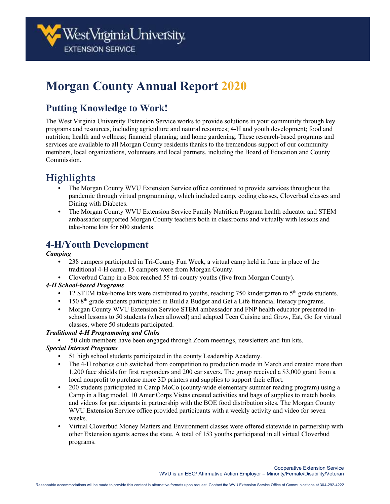# **Morgan County Annual Report 2020**

### **Putting Knowledge to Work!**

The West Virginia University Extension Service works to provide solutions in your community through key programs and resources, including agriculture and natural resources; 4-H and youth development; food and nutrition; health and wellness; financial planning; and home gardening. These research-based programs and services are available to all Morgan County residents thanks to the tremendous support of our community members, local organizations, volunteers and local partners, including the Board of Education and County Commission.

## **Highlights**

- The Morgan County WVU Extension Service office continued to provide services throughout the pandemic through virtual programming, which included camp, coding classes, Cloverbud classes and Dining with Diabetes.
- The Morgan County WVU Extension Service Family Nutrition Program health educator and STEM ambassador supported Morgan County teachers both in classrooms and virtually with lessons and take-home kits for 600 students.

### **4-H/Youth Development**

#### *Camping*

- 238 campers participated in Tri-County Fun Week, a virtual camp held in June in place of the traditional 4-H camp. 15 campers were from Morgan County.
- Cloverbud Camp in a Box reached 55 tri-county youths (five from Morgan County).

#### *4-H School-based Programs*

- 12 STEM take-home kits were distributed to youths, reaching  $750$  kindergarten to  $5<sup>th</sup>$  grade students.
- 150 8<sup>th</sup> grade students participated in Build a Budget and Get a Life financial literacy programs.
- Morgan County WVU Extension Service STEM ambassador and FNP health educator presented inschool lessons to 50 students (when allowed) and adapted Teen Cuisine and Grow, Eat, Go for virtual classes, where 50 students participated.

#### *Traditional 4-H Programming and Clubs*

• 50 club members have been engaged through Zoom meetings, newsletters and fun kits.

#### *Special Interest Programs*

- 51 high school students participated in the county Leadership Academy.
- The 4-H robotics club switched from competition to production mode in March and created more than 1,200 face shields for first responders and 200 ear savers. The group received a \$3,000 grant from a local nonprofit to purchase more 3D printers and supplies to support their effort.
- 200 students participated in Camp MoCo (county-wide elementary summer reading program) using a Camp in a Bag model. 10 AmeriCorps Vistas created activities and bags of supplies to match books and videos for participants in partnership with the BOE food distribution sites. The Morgan County WVU Extension Service office provided participants with a weekly activity and video for seven weeks.
- Virtual Cloverbud Money Matters and Environment classes were offered statewide in partnership with other Extension agents across the state. A total of 153 youths participated in all virtual Cloverbud programs.